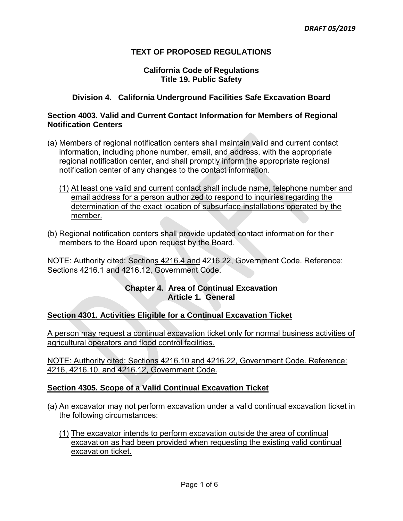# **TEXT OF PROPOSED REGULATIONS**

### **California Code of Regulations Title 19. Public Safety**

# **Division 4. California Underground Facilities Safe Excavation Board**

### **Section 4003. Valid and Current Contact Information for Members of Regional Notification Centers**

- (a) Members of regional notification centers shall maintain valid and current contact information, including phone number, email, and address, with the appropriate regional notification center, and shall promptly inform the appropriate regional notification center of any changes to the contact information.
	- (1) At least one valid and current contact shall include name, telephone number and email address for a person authorized to respond to inquiries regarding the determination of the exact location of subsurface installations operated by the member.
- (b) Regional notification centers shall provide updated contact information for their members to the Board upon request by the Board.

 NOTE: Authority cited: Sections 4216.4 and 4216.22, Government Code. Reference: Sections 4216.1 and 4216.12, Government Code.

## **Chapter 4. Area of Continual Excavation Article 1. General**

### **Section 4301. Activities Eligible for a Continual Excavation Ticket**

 A person may request a continual excavation ticket only for normal business activities of agricultural operators and flood control facilities.

 NOTE: Authority cited: Sections 4216.10 and 4216.22, Government Code. Reference: 4216, 4216.10, and 4216.12, Government Code.

## **Section 4305. Scope of a Valid Continual Excavation Ticket**

 (a) An excavator may not perform excavation under a valid continual excavation ticket in the following circumstances:

(1) The excavator intends to perform excavation outside the area of continual excavation as had been provided when requesting the existing valid continual excavation ticket.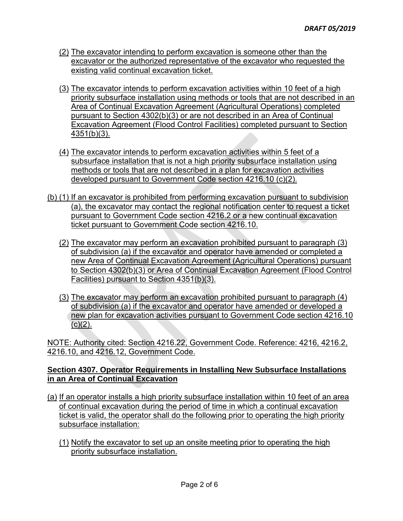- (2) The excavator intending to perform excavation is someone other than the excavator or the authorized representative of the excavator who requested the existing valid continual excavation ticket.
- (3) The excavator intends to perform excavation activities within 10 feet of a high priority subsurface installation using methods or tools that are not described in an pursuant to Section 4302(b)(3) or are not described in an Area of Continual Excavation Agreement (Flood Control Facilities) completed pursuant to Section Area of Continual Excavation Agreement (Agricultural Operations) completed 4351(b)(3).
- (4) The excavator intends to perform excavation activities within 5 feet of a subsurface installation that is not a high priority subsurface installation using methods or tools that are not described in a plan for excavation activities developed pursuant to Government Code section 4216.10 (c)(2).
- (b) (1) If an excavator is prohibited from performing excavation pursuant to subdivision (a), the excavator may contact the regional notification center to request a ticket pursuant to Government Code section 4216.2 or a new continual excavation ticket pursuant to Government Code section 4216.10.
	- (2) The excavator may perform an excavation prohibited pursuant to paragraph (3) of subdivision (a) if the excavator and operator have amended or completed a new Area of Continual Excavation Agreement (Agricultural Operations) pursuant to Section 4302(b)(3) or Area of Continual Excavation Agreement (Flood Control Facilities) pursuant to Section 4351(b)(3).
	- (3) The excavator may perform an excavation prohibited pursuant to paragraph (4) of subdivision (a) if the excavator and operator have amended or developed a new plan for excavation activities pursuant to Government Code section 4216.10 (c)(2).

 NOTE: Authority cited: Section 4216.22, Government Code. Reference: 4216, 4216.2, 4216.10, and 4216.12, Government Code.

### **Section 4307. Operator Requirements in Installing New Subsurface Installations in an Area of Continual Excavation**

- <u>(a)</u> If an operator installs a high priority subsurface installation within 10 feet of an area of continual excavation during the period of time in which a continual excavation ticket is valid, the operator shall do the following prior to operating the high priority subsurface installation:
	- (1) Notify the excavator to set up an onsite meeting prior to operating the high priority subsurface installation.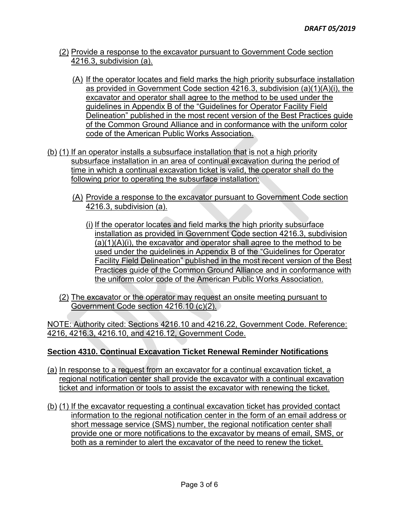- (2) Provide a response to the excavator pursuant to Government Code section 4216.3, subdivision (a).
	- as provided in Government Code section 4216.3, subdivision (a)(1)(A)(i), the excavator and operator shall agree to the method to be used under the guidelines in Appendix B of the "Guidelines for Operator Facility Field Delineation" published in the most recent version of the Best Practices guide of the Common Ground Alliance and in conformance with the uniform color (A) If the operator locates and field marks the high priority subsurface installation code of the American Public Works Association.
- (b) (1) If an operator installs a subsurface installation that is not a high priority time in which a continual excavation ticket is valid, the operator shall do the following prior to operating the subsurface installation: subsurface installation in an area of continual excavation during the period of
	- (A) Provide a response to the excavator pursuant to Government Code section 4216.3, subdivision (a).
		- used under the guidelines in Appendix B of the "Guidelines for Operator Facility Field Delineation" published in the most recent version of the Best Practices guide of the Common Ground Alliance and in conformance with the uniform color code of the American Public Works Association. (i) If the operator locates and field marks the high priority subsurface installation as provided in Government Code section 4216.3, subdivision (a)(1)(A)(i), the excavator and operator shall agree to the method to be
	- (2) The excavator or the operator may request an onsite meeting pursuant to Government Code section 4216.10 (c)(2).

 NOTE: Authority cited: Sections 4216.10 and 4216.22, Government Code. Reference: 4216, 4216.3, 4216.10, and 4216.12, Government Code.

## **Section 4310. Continual Excavation Ticket Renewal Reminder Notifications**

- (a) In response to a request from an excavator for a continual excavation ticket, a regional notification center shall provide the excavator with a continual excavation ticket and information or tools to assist the excavator with renewing the ticket.
- (b) (1) If the excavator requesting a continual excavation ticket has provided contact information to the regional notification center in the form of an email address or short message service (SMS) number, the regional notification center shall provide one or more notifications to the excavator by means of email, SMS, or both as a reminder to alert the excavator of the need to renew the ticket.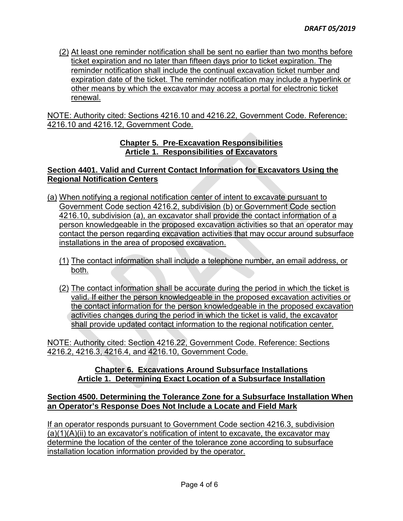(2) At least one reminder notification shall be sent no earlier than two months before ticket expiration and no later than fifteen days prior to ticket expiration. The reminder notification shall include the continual excavation ticket number and other means by which the excavator may access a portal for electronic ticket expiration date of the ticket. The reminder notification may include a hyperlink or renewal.

 NOTE: Authority cited: Sections 4216.10 and 4216.22, Government Code. Reference: 4216.10 and 4216.12, Government Code.

### **Chapter 5. Pre-Excavation Responsibilities Article 1. Responsibilities of Excavators**

## **Section 4401. Valid and Current Contact Information for Excavators Using the Regional Notification Centers**

- (a) When notifying a regional notification center of intent to excavate pursuant to contact the person regarding excavation activities that may occur around subsurface installations in the area of proposed excavation. Government Code section 4216.2, subdivision (b) or Government Code section 4216.10, subdivision (a), an excavator shall provide the contact information of a person knowledgeable in the proposed excavation activities so that an operator may
	- (1) The contact information shall include a telephone number, an email address, or both.
	- valid. If either the person knowledgeable in the proposed excavation activities or the contact information for the person knowledgeable in the proposed excavation activities changes during the period in which the ticket is valid, the excavator (2) The contact information shall be accurate during the period in which the ticket is shall provide updated contact information to the regional notification center.

 NOTE: Authority cited: Section 4216.22, Government Code. Reference: Sections 4216.2, 4216.3, 4216.4, and 4216.10, Government Code.

### **Chapter 6. Excavations Around Subsurface Installations Article 1. Determining Exact Location of a Subsurface Installation**

## **Section 4500. Determining the Tolerance Zone for a Subsurface Installation When an Operator's Response Does Not Include a Locate and Field Mark**

 If an operator responds pursuant to Government Code section 4216.3, subdivision (a)(1)(A)(ii) to an excavator's notification of intent to excavate, the excavator may determine the location of the center of the tolerance zone according to subsurface installation location information provided by the operator.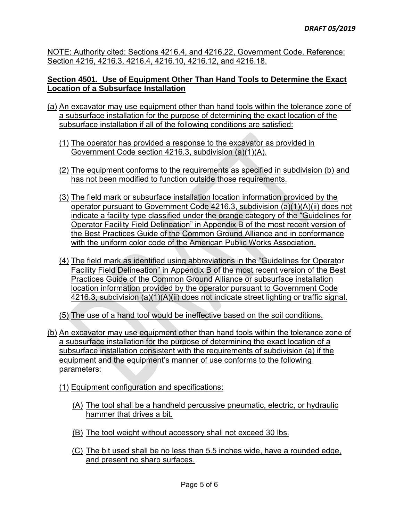NOTE: Authority cited: Sections 4216.4, and 4216.22, Government Code. Reference: Section 4216, 4216.3, 4216.4, 4216.10, 4216.12, and 4216.18.

## **Section 4501. Use of Equipment Other Than Hand Tools to Determine the Exact Location of a Subsurface Installation**

- (a) An excavator may use equipment other than hand tools within the tolerance zone of a subsurface installation for the purpose of determining the exact location of the subsurface installation if all of the following conditions are satisfied:
	- (1) The operator has provided a response to the excavator as provided in Government Code section 4216.3, subdivision (a)(1)(A).
	- (2) The equipment conforms to the requirements as specified in subdivision (b) and has not been modified to function outside those requirements.
	- operator pursuant to Government Code 4216.3, subdivision (a)(1)(A)(ii) does not indicate a facility type classified under the orange category of the "Guidelines for Operator Facility Field Delineation" in Appendix B of the most recent version of (3) The field mark or subsurface installation location information provided by the the Best Practices Guide of the Common Ground Alliance and in conformance with the uniform color code of the American Public Works Association.
	- 4216.3, subdivision (a)(1)(A)(ii) does not indicate street lighting or traffic signal. (4) The field mark as identified using abbreviations in the "Guidelines for Operator Facility Field Delineation" in Appendix B of the most recent version of the Best Practices Guide of the Common Ground Alliance or subsurface installation location information provided by the operator pursuant to Government Code
	- (5) The use of a hand tool would be ineffective based on the soil conditions.
- (b) An excavator may use equipment other than hand tools within the tolerance zone of a subsurface installation for the purpose of determining the exact location of a subsurface installation consistent with the requirements of subdivision (a) if the equipment and the equipment's manner of use conforms to the following parameters:
	- (1) Equipment configuration and specifications:
		- hammer that drives a bit. (A) The tool shall be a handheld percussive pneumatic, electric, or hydraulic
		- (B) The tool weight without accessory shall not exceed 30 lbs.
		- (C) The bit used shall be no less than 5.5 inches wide, have a rounded edge, and present no sharp surfaces.